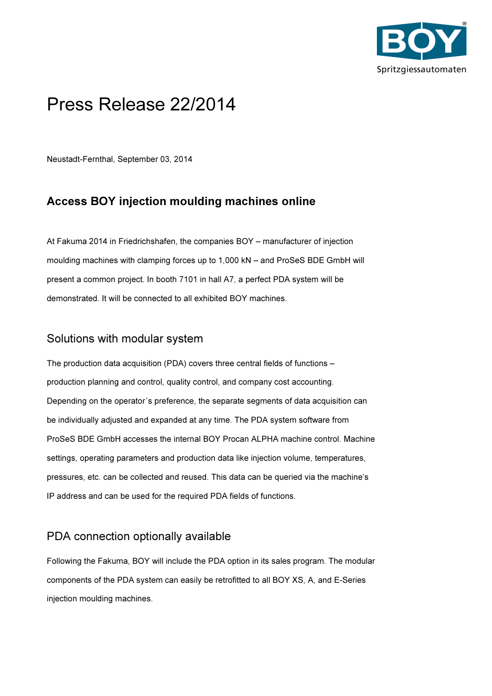

## Press Release 22/2014

Neustadt-Fernthal, September 03, 2014

## Access BOY injection moulding machines online

At Fakuma 2014 in Friedrichshafen, the companies BOY – manufacturer of injection moulding machines with clamping forces up to 1,000 kN – and ProSeS BDE GmbH will present a common project. In booth 7101 in hall A7, a perfect PDA system will be demonstrated. It will be connected to all exhibited BOY machines.

## Solutions with modular system

The production data acquisition (PDA) covers three central fields of functions – production planning and control, quality control, and company cost accounting. Depending on the operator´s preference, the separate segments of data acquisition can be individually adjusted and expanded at any time. The PDA system software from ProSeS BDE GmbH accesses the internal BOY Procan ALPHA machine control. Machine settings, operating parameters and production data like injection volume, temperatures, pressures, etc. can be collected and reused. This data can be queried via the machine's IP address and can be used for the required PDA fields of functions.

## PDA connection optionally available

Following the Fakuma, BOY will include the PDA option in its sales program. The modular components of the PDA system can easily be retrofitted to all BOY XS, A, and E-Series injection moulding machines.